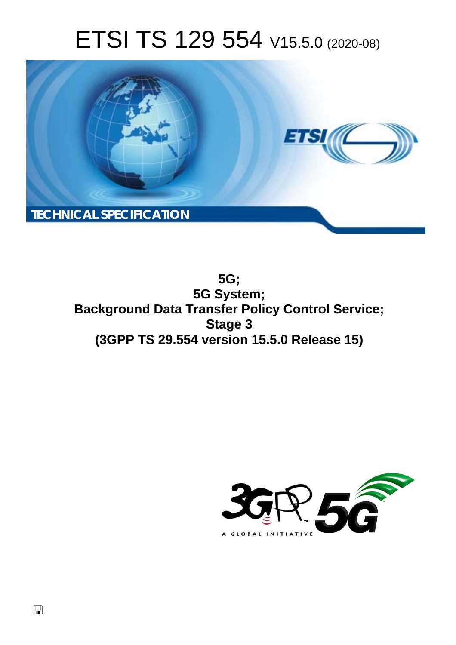# ETSI TS 129 554 V15.5.0 (2020-08)



**5G; 5G System; Background Data Transfer Policy Control Service; Stage 3 (3GPP TS 29.554 version 15.5.0 Release 15)** 

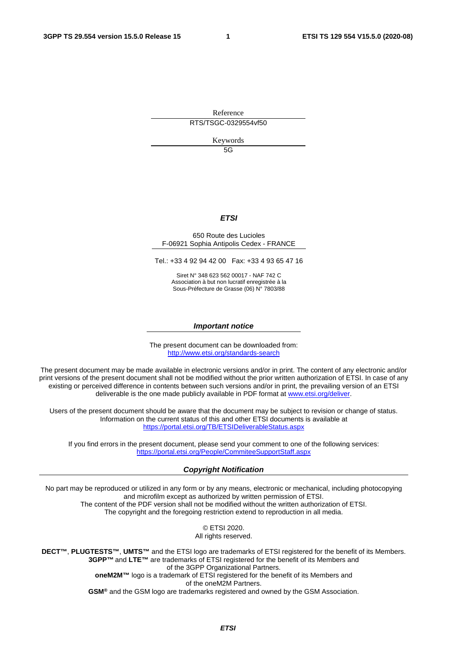Reference RTS/TSGC-0329554vf50

Keywords

5G

#### *ETSI*

#### 650 Route des Lucioles F-06921 Sophia Antipolis Cedex - FRANCE

Tel.: +33 4 92 94 42 00 Fax: +33 4 93 65 47 16

Siret N° 348 623 562 00017 - NAF 742 C Association à but non lucratif enregistrée à la Sous-Préfecture de Grasse (06) N° 7803/88

#### *Important notice*

The present document can be downloaded from: <http://www.etsi.org/standards-search>

The present document may be made available in electronic versions and/or in print. The content of any electronic and/or print versions of the present document shall not be modified without the prior written authorization of ETSI. In case of any existing or perceived difference in contents between such versions and/or in print, the prevailing version of an ETSI deliverable is the one made publicly available in PDF format at [www.etsi.org/deliver.](http://www.etsi.org/deliver)

Users of the present document should be aware that the document may be subject to revision or change of status. Information on the current status of this and other ETSI documents is available at <https://portal.etsi.org/TB/ETSIDeliverableStatus.aspx>

If you find errors in the present document, please send your comment to one of the following services: <https://portal.etsi.org/People/CommiteeSupportStaff.aspx>

#### *Copyright Notification*

No part may be reproduced or utilized in any form or by any means, electronic or mechanical, including photocopying and microfilm except as authorized by written permission of ETSI. The content of the PDF version shall not be modified without the written authorization of ETSI. The copyright and the foregoing restriction extend to reproduction in all media.

> © ETSI 2020. All rights reserved.

**DECT™**, **PLUGTESTS™**, **UMTS™** and the ETSI logo are trademarks of ETSI registered for the benefit of its Members. **3GPP™** and **LTE™** are trademarks of ETSI registered for the benefit of its Members and of the 3GPP Organizational Partners. **oneM2M™** logo is a trademark of ETSI registered for the benefit of its Members and of the oneM2M Partners. **GSM®** and the GSM logo are trademarks registered and owned by the GSM Association.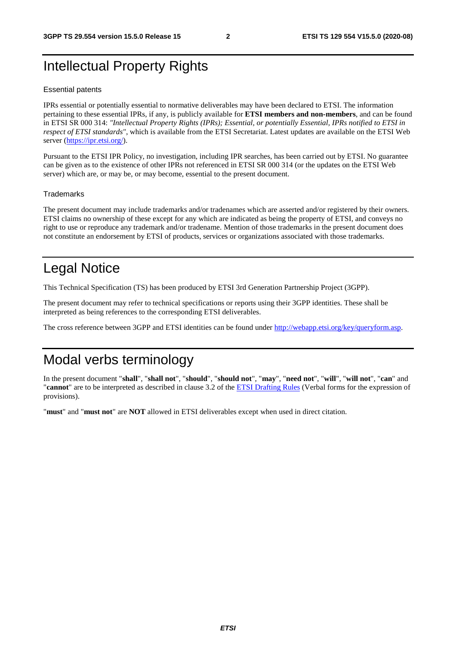# Intellectual Property Rights

#### Essential patents

IPRs essential or potentially essential to normative deliverables may have been declared to ETSI. The information pertaining to these essential IPRs, if any, is publicly available for **ETSI members and non-members**, and can be found in ETSI SR 000 314: *"Intellectual Property Rights (IPRs); Essential, or potentially Essential, IPRs notified to ETSI in respect of ETSI standards"*, which is available from the ETSI Secretariat. Latest updates are available on the ETSI Web server [\(https://ipr.etsi.org/](https://ipr.etsi.org/)).

Pursuant to the ETSI IPR Policy, no investigation, including IPR searches, has been carried out by ETSI. No guarantee can be given as to the existence of other IPRs not referenced in ETSI SR 000 314 (or the updates on the ETSI Web server) which are, or may be, or may become, essential to the present document.

#### **Trademarks**

The present document may include trademarks and/or tradenames which are asserted and/or registered by their owners. ETSI claims no ownership of these except for any which are indicated as being the property of ETSI, and conveys no right to use or reproduce any trademark and/or tradename. Mention of those trademarks in the present document does not constitute an endorsement by ETSI of products, services or organizations associated with those trademarks.

# Legal Notice

This Technical Specification (TS) has been produced by ETSI 3rd Generation Partnership Project (3GPP).

The present document may refer to technical specifications or reports using their 3GPP identities. These shall be interpreted as being references to the corresponding ETSI deliverables.

The cross reference between 3GPP and ETSI identities can be found under<http://webapp.etsi.org/key/queryform.asp>.

# Modal verbs terminology

In the present document "**shall**", "**shall not**", "**should**", "**should not**", "**may**", "**need not**", "**will**", "**will not**", "**can**" and "**cannot**" are to be interpreted as described in clause 3.2 of the [ETSI Drafting Rules](https://portal.etsi.org/Services/editHelp!/Howtostart/ETSIDraftingRules.aspx) (Verbal forms for the expression of provisions).

"**must**" and "**must not**" are **NOT** allowed in ETSI deliverables except when used in direct citation.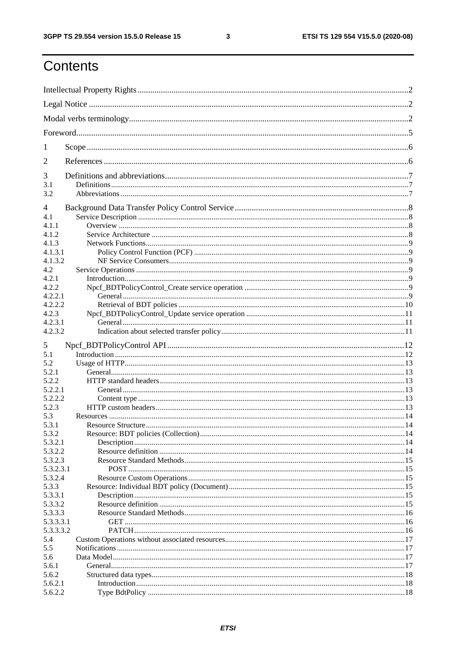$\mathbf{3}$ 

# Contents

| 1          |                    |  |
|------------|--------------------|--|
| 2          |                    |  |
| 3          |                    |  |
| 3.1<br>3.2 |                    |  |
| 4          |                    |  |
| 4.1        |                    |  |
| 4.1.1      |                    |  |
| 4.1.2      |                    |  |
| 4.1.3      |                    |  |
| 4.1.3.1    |                    |  |
| 4.1.3.2    |                    |  |
| 4.2        |                    |  |
| 4.2.1      |                    |  |
| 4.2.2      |                    |  |
| 4.2.2.1    |                    |  |
| 4.2.2.2    |                    |  |
| 4.2.3      |                    |  |
| 4.2.3.1    |                    |  |
| 4.2.3.2    |                    |  |
| 5          |                    |  |
| 5.1        |                    |  |
| 5.2        |                    |  |
| 5.2.1      |                    |  |
| 5.2.2      |                    |  |
| 5.2.2.1    |                    |  |
| 5.2.2.2    |                    |  |
| 5.2.3      |                    |  |
| 5.3        |                    |  |
| 5.3.1      | Resource Structure |  |
| 5.3.2      |                    |  |
| 5.3.2.1    |                    |  |
| 5.3.2.2    |                    |  |
| 5.3.2.3    |                    |  |
| 5.3.2.3.1  |                    |  |
| 5.3.2.4    |                    |  |
| 5.3.3      |                    |  |
| 5.3.3.1    |                    |  |
| 5.3.3.2    |                    |  |
| 5.3.3.3    |                    |  |
| 5.3.3.3.1  |                    |  |
| 5.3.3.3.2  |                    |  |
| 5.4        |                    |  |
| 5.5        |                    |  |
| 5.6        |                    |  |
| 5.6.1      |                    |  |
| 5.6.2      |                    |  |
| 5.6.2.1    |                    |  |
| 5.6.2.2    |                    |  |
|            |                    |  |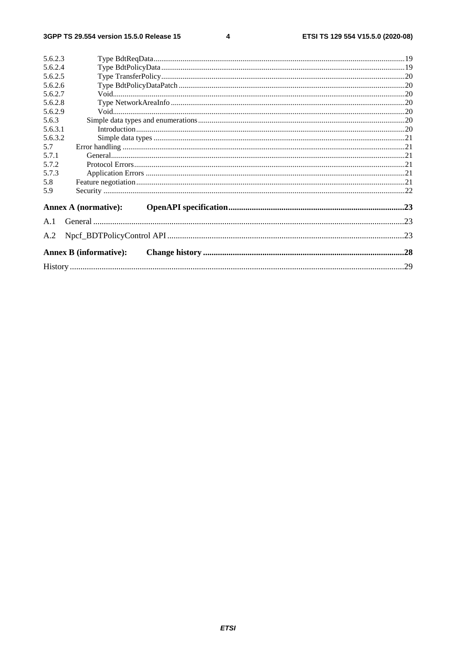$\overline{\mathbf{4}}$ 

| 5.6.2.3                       |     |
|-------------------------------|-----|
| 5.6.2.4                       |     |
| 5.6.2.5                       |     |
| 5.6.2.6                       |     |
| 5.6.2.7                       |     |
| 5.6.2.8                       |     |
| 5.6.2.9                       |     |
| 5.6.3                         |     |
| 5.6.3.1                       |     |
| 5.6.3.2                       |     |
| 5.7                           |     |
| 5.7.1                         |     |
| 5.7.2                         |     |
| 5.7.3                         |     |
| 5.8                           |     |
| 5.9                           |     |
| <b>Annex A (normative):</b>   |     |
| A.1                           |     |
| A.2                           | .23 |
| <b>Annex B (informative):</b> |     |
|                               | .29 |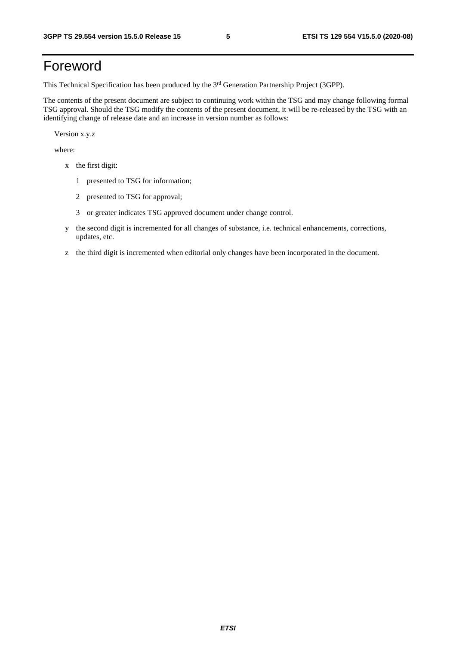# Foreword

This Technical Specification has been produced by the 3<sup>rd</sup> Generation Partnership Project (3GPP).

The contents of the present document are subject to continuing work within the TSG and may change following formal TSG approval. Should the TSG modify the contents of the present document, it will be re-released by the TSG with an identifying change of release date and an increase in version number as follows:

Version x.y.z

where:

- x the first digit:
	- 1 presented to TSG for information;
	- 2 presented to TSG for approval;
	- 3 or greater indicates TSG approved document under change control.
- y the second digit is incremented for all changes of substance, i.e. technical enhancements, corrections, updates, etc.
- z the third digit is incremented when editorial only changes have been incorporated in the document.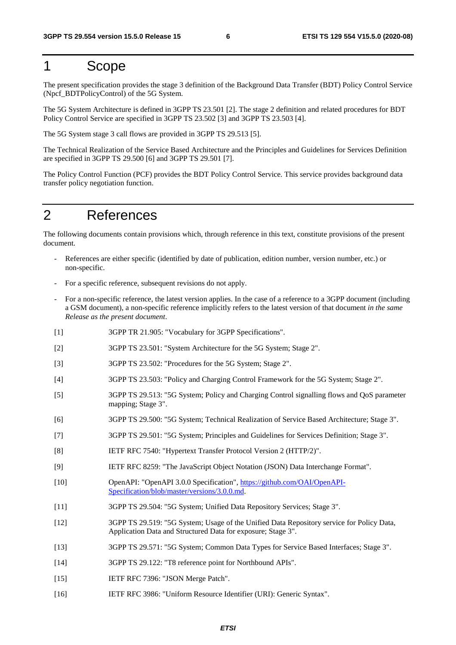# 1 Scope

The present specification provides the stage 3 definition of the Background Data Transfer (BDT) Policy Control Service (Npcf\_BDTPolicyControl) of the 5G System.

The 5G System Architecture is defined in 3GPP TS 23.501 [2]. The stage 2 definition and related procedures for BDT Policy Control Service are specified in 3GPP TS 23.502 [3] and 3GPP TS 23.503 [4].

The 5G System stage 3 call flows are provided in 3GPP TS 29.513 [5].

The Technical Realization of the Service Based Architecture and the Principles and Guidelines for Services Definition are specified in 3GPP TS 29.500 [6] and 3GPP TS 29.501 [7].

The Policy Control Function (PCF) provides the BDT Policy Control Service. This service provides background data transfer policy negotiation function.

# 2 References

The following documents contain provisions which, through reference in this text, constitute provisions of the present document.

- References are either specific (identified by date of publication, edition number, version number, etc.) or non-specific.
- For a specific reference, subsequent revisions do not apply.
- For a non-specific reference, the latest version applies. In the case of a reference to a 3GPP document (including a GSM document), a non-specific reference implicitly refers to the latest version of that document *in the same Release as the present document*.
- [1] 3GPP TR 21.905: "Vocabulary for 3GPP Specifications".
- [2] 3GPP TS 23.501: "System Architecture for the 5G System; Stage 2".
- [3] 3GPP TS 23.502: "Procedures for the 5G System; Stage 2".
- [4] 3GPP TS 23.503: "Policy and Charging Control Framework for the 5G System; Stage 2".
- [5] 3GPP TS 29.513: "5G System; Policy and Charging Control signalling flows and QoS parameter mapping; Stage 3".
- [6] 3GPP TS 29.500: "5G System; Technical Realization of Service Based Architecture; Stage 3".
- [7] 3GPP TS 29.501: "5G System; Principles and Guidelines for Services Definition; Stage 3".
- [8] IETF RFC 7540: "Hypertext Transfer Protocol Version 2 (HTTP/2)".
- [9] IETF RFC 8259: "The JavaScript Object Notation (JSON) Data Interchange Format".
- [10] OpenAPI: "OpenAPI 3.0.0 Specification", [https://github.com/OAI/OpenAPI](https://github.com/OAI/OpenAPI-Specification/blob/master/versions/3.0.0.md)-[Specification/blob/master/versions/3.0.0.md](https://github.com/OAI/OpenAPI-Specification/blob/master/versions/3.0.0.md).
- [11] 3GPP TS 29.504: "5G System; Unified Data Repository Services; Stage 3".
- [12] 3GPP TS 29.519: "5G System; Usage of the Unified Data Repository service for Policy Data, Application Data and Structured Data for exposure; Stage 3".
- [13] 3GPP TS 29.571: "5G System; Common Data Types for Service Based Interfaces; Stage 3".
- [14] 3GPP TS 29.122: "T8 reference point for Northbound APIs".
- [15] **IETF RFC 7396: "JSON Merge Patch".**
- [16] IETF RFC 3986: "Uniform Resource Identifier (URI): Generic Syntax".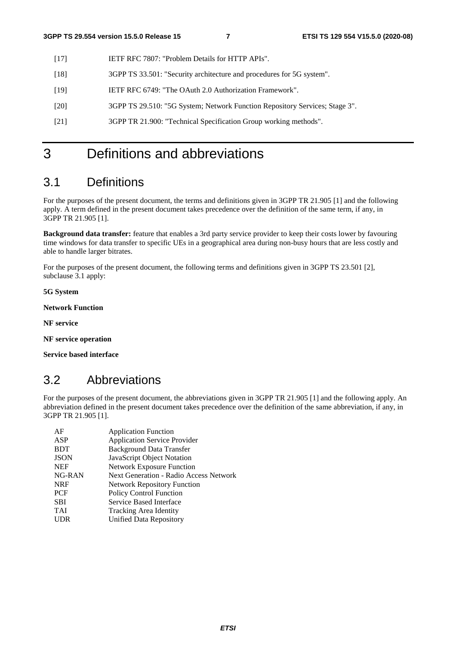- [17] IETF RFC 7807: "Problem Details for HTTP APIs".
- [18] 3GPP TS 33.501: "Security architecture and procedures for 5G system".
- [19] IETF RFC 6749: "The OAuth 2.0 Authorization Framework".
- [20] 3GPP TS 29.510: "5G System; Network Function Repository Services; Stage 3".
- [21] 3GPP TR 21.900: "Technical Specification Group working methods".

# 3 Definitions and abbreviations

# 3.1 Definitions

For the purposes of the present document, the terms and definitions given in 3GPP TR 21.905 [1] and the following apply. A term defined in the present document takes precedence over the definition of the same term, if any, in 3GPP TR 21.905 [1].

**Background data transfer:** feature that enables a 3rd party service provider to keep their costs lower by favouring time windows for data transfer to specific UEs in a geographical area during non-busy hours that are less costly and able to handle larger bitrates.

For the purposes of the present document, the following terms and definitions given in 3GPP TS 23.501 [2], subclause 3.1 apply:

**5G System** 

**Network Function** 

**NF service** 

**NF service operation** 

**Service based interface** 

# 3.2 Abbreviations

For the purposes of the present document, the abbreviations given in 3GPP TR 21.905 [1] and the following apply. An abbreviation defined in the present document takes precedence over the definition of the same abbreviation, if any, in 3GPP TR 21.905 [1].

| AF          | <b>Application Function</b>                   |
|-------------|-----------------------------------------------|
| ASP         | <b>Application Service Provider</b>           |
| <b>BDT</b>  | <b>Background Data Transfer</b>               |
| <b>JSON</b> | JavaScript Object Notation                    |
| <b>NEF</b>  | <b>Network Exposure Function</b>              |
| NG-RAN      | <b>Next Generation - Radio Access Network</b> |
| <b>NRF</b>  | <b>Network Repository Function</b>            |
| <b>PCF</b>  | <b>Policy Control Function</b>                |
| <b>SBI</b>  | Service Based Interface                       |
| <b>TAI</b>  | Tracking Area Identity                        |
| <b>UDR</b>  | Unified Data Repository                       |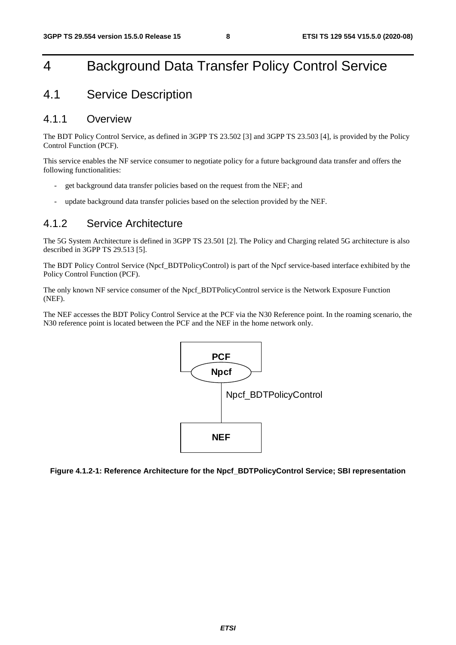# 4 Background Data Transfer Policy Control Service

# 4.1 Service Description

### 4.1.1 Overview

The BDT Policy Control Service, as defined in 3GPP TS 23.502 [3] and 3GPP TS 23.503 [4], is provided by the Policy Control Function (PCF).

This service enables the NF service consumer to negotiate policy for a future background data transfer and offers the following functionalities:

- get background data transfer policies based on the request from the NEF; and
- update background data transfer policies based on the selection provided by the NEF.

### 4.1.2 Service Architecture

The 5G System Architecture is defined in 3GPP TS 23.501 [2]. The Policy and Charging related 5G architecture is also described in 3GPP TS 29.513 [5].

The BDT Policy Control Service (Npcf\_BDTPolicyControl) is part of the Npcf service-based interface exhibited by the Policy Control Function (PCF).

The only known NF service consumer of the Npcf\_BDTPolicyControl service is the Network Exposure Function (NEF).

The NEF accesses the BDT Policy Control Service at the PCF via the N30 Reference point. In the roaming scenario, the N30 reference point is located between the PCF and the NEF in the home network only.



**Figure 4.1.2-1: Reference Architecture for the Npcf\_BDTPolicyControl Service; SBI representation**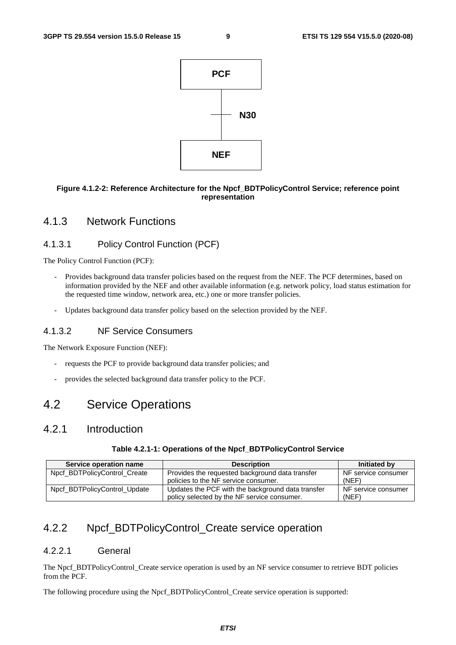

#### **Figure 4.1.2-2: Reference Architecture for the Npcf\_BDTPolicyControl Service; reference point representation**

### 4.1.3 Network Functions

### 4.1.3.1 Policy Control Function (PCF)

The Policy Control Function (PCF):

- Provides background data transfer policies based on the request from the NEF. The PCF determines, based on information provided by the NEF and other available information (e.g. network policy, load status estimation for the requested time window, network area, etc.) one or more transfer policies.
- Updates background data transfer policy based on the selection provided by the NEF.

#### 4.1.3.2 NF Service Consumers

The Network Exposure Function (NEF):

- requests the PCF to provide background data transfer policies; and
- provides the selected background data transfer policy to the PCF.

# 4.2 Service Operations

# 4.2.1 Introduction

#### **Table 4.2.1-1: Operations of the Npcf\_BDTPolicyControl Service**

| Service operation name       | <b>Description</b>                                | Initiated by        |
|------------------------------|---------------------------------------------------|---------------------|
| Npcf BDTPolicyControl Create | Provides the requested background data transfer   | NF service consumer |
|                              | policies to the NF service consumer.              | (NEF)               |
| Npcf_BDTPolicyControl_Update | Updates the PCF with the background data transfer | NF service consumer |
|                              | policy selected by the NF service consumer.       | (NEF)               |

# 4.2.2 Npcf\_BDTPolicyControl\_Create service operation

#### 4.2.2.1 General

The Npcf BDTPolicyControl Create service operation is used by an NF service consumer to retrieve BDT policies from the PCF.

The following procedure using the Npcf\_BDTPolicyControl\_Create service operation is supported: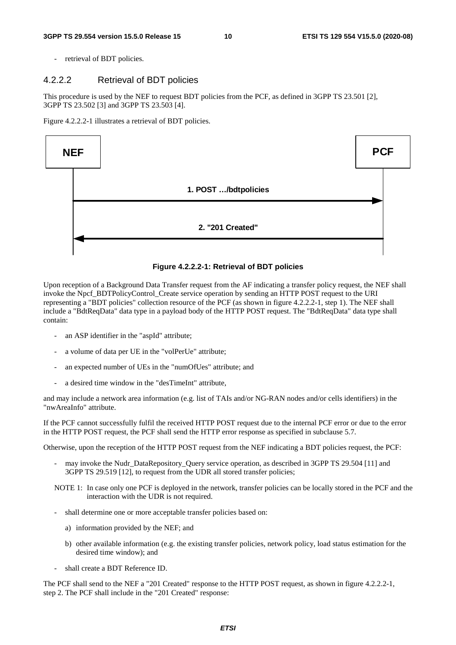retrieval of BDT policies.

#### 4.2.2.2 Retrieval of BDT policies

This procedure is used by the NEF to request BDT policies from the PCF, as defined in 3GPP TS 23.501 [2], 3GPP TS 23.502 [3] and 3GPP TS 23.503 [4].

Figure 4.2.2.2-1 illustrates a retrieval of BDT policies.



#### **Figure 4.2.2.2-1: Retrieval of BDT policies**

Upon reception of a Background Data Transfer request from the AF indicating a transfer policy request, the NEF shall invoke the Npcf\_BDTPolicyControl\_Create service operation by sending an HTTP POST request to the URI representing a "BDT policies" collection resource of the PCF (as shown in figure 4.2.2.2-1, step 1). The NEF shall include a "BdtReqData" data type in a payload body of the HTTP POST request. The "BdtReqData" data type shall contain:

- an ASP identifier in the "aspId" attribute;
- a volume of data per UE in the "volPerUe" attribute;
- an expected number of UEs in the "numOfUes" attribute; and
- a desired time window in the "desTimeInt" attribute,

and may include a network area information (e.g. list of TAIs and/or NG-RAN nodes and/or cells identifiers) in the "nwAreaInfo" attribute.

If the PCF cannot successfully fulfil the received HTTP POST request due to the internal PCF error or due to the error in the HTTP POST request, the PCF shall send the HTTP error response as specified in subclause 5.7.

Otherwise, upon the reception of the HTTP POST request from the NEF indicating a BDT policies request, the PCF:

- may invoke the Nudr\_DataRepository\_Query service operation, as described in 3GPP TS 29.504 [11] and 3GPP TS 29.519 [12], to request from the UDR all stored transfer policies;
- NOTE 1: In case only one PCF is deployed in the network, transfer policies can be locally stored in the PCF and the interaction with the UDR is not required.
- shall determine one or more acceptable transfer policies based on:
	- a) information provided by the NEF; and
	- b) other available information (e.g. the existing transfer policies, network policy, load status estimation for the desired time window); and
- shall create a BDT Reference ID.

The PCF shall send to the NEF a "201 Created" response to the HTTP POST request, as shown in figure 4.2.2.2-1, step 2. The PCF shall include in the "201 Created" response: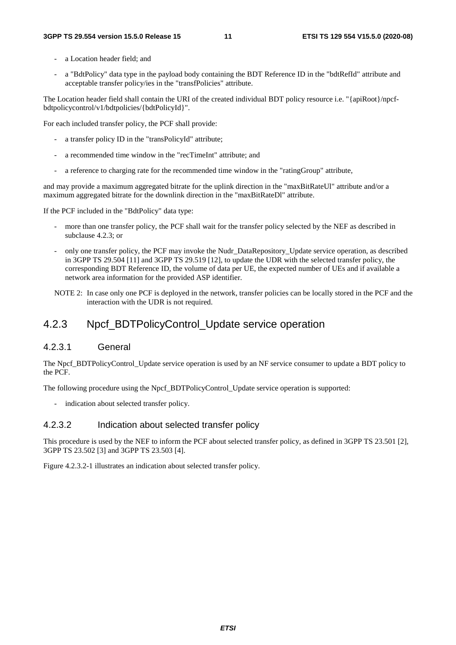- a Location header field; and
- a "BdtPolicy" data type in the payload body containing the BDT Reference ID in the "bdtRefId" attribute and acceptable transfer policy/ies in the "transfPolicies" attribute.

The Location header field shall contain the URI of the created individual BDT policy resource i.e. "{apiRoot}/npcfbdtpolicycontrol/v1/bdtpolicies/{bdtPolicyId}".

For each included transfer policy, the PCF shall provide:

- a transfer policy ID in the "transPolicyId" attribute;
- a recommended time window in the "recTimeInt" attribute; and
- a reference to charging rate for the recommended time window in the "ratingGroup" attribute,

and may provide a maximum aggregated bitrate for the uplink direction in the "maxBitRateUl" attribute and/or a maximum aggregated bitrate for the downlink direction in the "maxBitRateDl" attribute.

If the PCF included in the "BdtPolicy" data type:

- more than one transfer policy, the PCF shall wait for the transfer policy selected by the NEF as described in subclause 4.2.3; or
- only one transfer policy, the PCF may invoke the Nudr\_DataRepository\_Update service operation, as described in 3GPP TS 29.504 [11] and 3GPP TS 29.519 [12], to update the UDR with the selected transfer policy, the corresponding BDT Reference ID, the volume of data per UE, the expected number of UEs and if available a network area information for the provided ASP identifier.
- NOTE 2: In case only one PCF is deployed in the network, transfer policies can be locally stored in the PCF and the interaction with the UDR is not required.

### 4.2.3 Npcf\_BDTPolicyControl\_Update service operation

#### 4.2.3.1 General

The Npcf BDTPolicyControl Update service operation is used by an NF service consumer to update a BDT policy to the PCF.

The following procedure using the Npcf\_BDTPolicyControl\_Update service operation is supported:

- indication about selected transfer policy.

#### 4.2.3.2 Indication about selected transfer policy

This procedure is used by the NEF to inform the PCF about selected transfer policy, as defined in 3GPP TS 23.501 [2], 3GPP TS 23.502 [3] and 3GPP TS 23.503 [4].

Figure 4.2.3.2-1 illustrates an indication about selected transfer policy.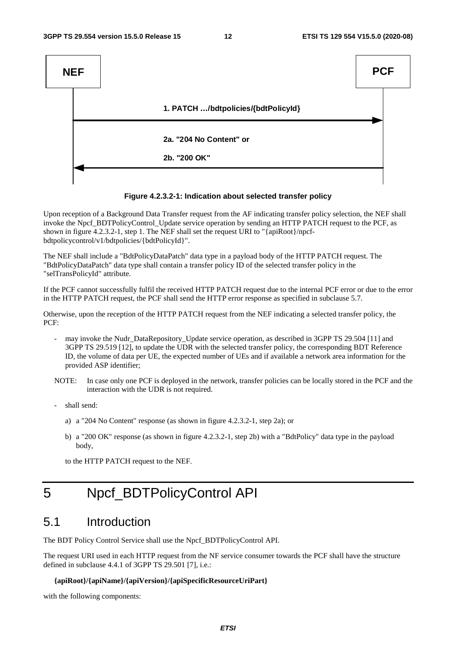

#### **Figure 4.2.3.2-1: Indication about selected transfer policy**

Upon reception of a Background Data Transfer request from the AF indicating transfer policy selection, the NEF shall invoke the Npcf\_BDTPolicyControl\_Update service operation by sending an HTTP PATCH request to the PCF, as shown in figure 4.2.3.2-1, step 1. The NEF shall set the request URI to "{apiRoot}/npcfbdtpolicycontrol/v1/bdtpolicies/{bdtPolicyId}".

The NEF shall include a "BdtPolicyDataPatch" data type in a payload body of the HTTP PATCH request. The "BdtPolicyDataPatch" data type shall contain a transfer policy ID of the selected transfer policy in the "selTransPolicyId" attribute.

If the PCF cannot successfully fulfil the received HTTP PATCH request due to the internal PCF error or due to the error in the HTTP PATCH request, the PCF shall send the HTTP error response as specified in subclause 5.7.

Otherwise, upon the reception of the HTTP PATCH request from the NEF indicating a selected transfer policy, the PCF:

- may invoke the Nudr\_DataRepository\_Update service operation, as described in 3GPP TS 29.504 [11] and 3GPP TS 29.519 [12], to update the UDR with the selected transfer policy, the corresponding BDT Reference ID, the volume of data per UE, the expected number of UEs and if available a network area information for the provided ASP identifier;
- NOTE: In case only one PCF is deployed in the network, transfer policies can be locally stored in the PCF and the interaction with the UDR is not required.
- shall send:
	- a) a "204 No Content" response (as shown in figure 4.2.3.2-1, step 2a); or
	- b) a "200 OK" response (as shown in figure 4.2.3.2-1, step 2b) with a "BdtPolicy" data type in the payload body,

to the HTTP PATCH request to the NEF.

# 5 Npcf\_BDTPolicyControl API

# 5.1 Introduction

The BDT Policy Control Service shall use the Npcf\_BDTPolicyControl API.

The request URI used in each HTTP request from the NF service consumer towards the PCF shall have the structure defined in subclause 4.4.1 of 3GPP TS 29.501 [7], i.e.:

#### **{apiRoot}/{apiName}/{apiVersion}/{apiSpecificResourceUriPart}**

with the following components: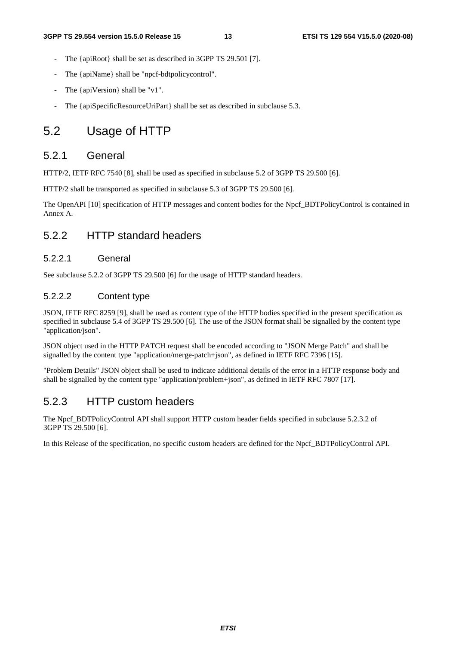- The {apiRoot} shall be set as described in 3GPP TS 29.501 [7].
- The {apiName} shall be "npcf-bdtpolicycontrol".
- The {apiVersion} shall be "v1".
- The {apiSpecificResourceUriPart} shall be set as described in subclause 5.3.

# 5.2 Usage of HTTP

### 5.2.1 General

HTTP/2, IETF RFC 7540 [8], shall be used as specified in subclause 5.2 of 3GPP TS 29.500 [6].

HTTP/2 shall be transported as specified in subclause 5.3 of 3GPP TS 29.500 [6].

The OpenAPI [10] specification of HTTP messages and content bodies for the Npcf\_BDTPolicyControl is contained in Annex A.

# 5.2.2 HTTP standard headers

#### 5.2.2.1 General

See subclause 5.2.2 of 3GPP TS 29.500 [6] for the usage of HTTP standard headers.

#### 5.2.2.2 Content type

JSON, IETF RFC 8259 [9], shall be used as content type of the HTTP bodies specified in the present specification as specified in subclause 5.4 of 3GPP TS 29.500 [6]. The use of the JSON format shall be signalled by the content type "application/json".

JSON object used in the HTTP PATCH request shall be encoded according to "JSON Merge Patch" and shall be signalled by the content type "application/merge-patch+json", as defined in IETF RFC 7396 [15].

"Problem Details" JSON object shall be used to indicate additional details of the error in a HTTP response body and shall be signalled by the content type "application/problem+json", as defined in IETF RFC 7807 [17].

### 5.2.3 HTTP custom headers

The Npcf BDTPolicyControl API shall support HTTP custom header fields specified in subclause 5.2.3.2 of 3GPP TS 29.500 [6].

In this Release of the specification, no specific custom headers are defined for the Npcf\_BDTPolicyControl API.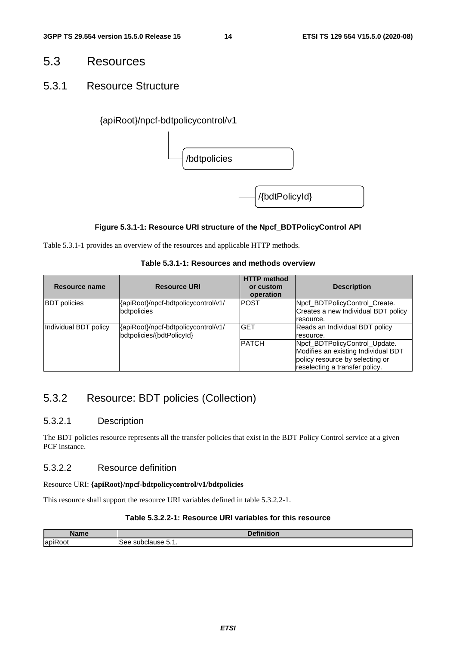# 5.3 Resources

### 5.3.1 Resource Structure

### {apiRoot}/npcf-bdtpolicycontrol/v1



#### **Figure 5.3.1-1: Resource URI structure of the Npcf\_BDTPolicyControl API**

Table 5.3.1-1 provides an overview of the resources and applicable HTTP methods.

#### **Table 5.3.1-1: Resources and methods overview**

| Resource name         | <b>Resource URI</b>                                              | <b>HTTP</b> method<br>or custom<br>operation | <b>Description</b>                                                                                                                        |
|-----------------------|------------------------------------------------------------------|----------------------------------------------|-------------------------------------------------------------------------------------------------------------------------------------------|
| <b>BDT</b> policies   | {apiRoot}/npcf-bdtpolicycontrol/v1/<br>bdtpolicies               | IPOST                                        | Npcf_BDTPolicyControl_Create.<br>Creates a new Individual BDT policy<br>resource.                                                         |
| Individual BDT policy | {apiRoot}/npcf-bdtpolicycontrol/v1/<br>bdtpolicies/{bdtPolicyId} | <b>GET</b>                                   | Reads an Individual BDT policy<br>resource.                                                                                               |
|                       |                                                                  | <b>PATCH</b>                                 | Npcf BDTPolicyControl Update.<br>Modifies an existing Individual BDT<br>policy resource by selecting or<br>reselecting a transfer policy. |

# 5.3.2 Resource: BDT policies (Collection)

#### 5.3.2.1 Description

The BDT policies resource represents all the transfer policies that exist in the BDT Policy Control service at a given PCF instance.

### 5.3.2.2 Resource definition

#### Resource URI: **{apiRoot}/npcf-bdtpolicycontrol/v1/bdtpolicies**

This resource shall support the resource URI variables defined in table 5.3.2.2-1.

#### **Table 5.3.2.2-1: Resource URI variables for this resource**

| Namo         | $-1$<br>1.1                            |
|--------------|----------------------------------------|
| . .<br>lapil | ء ہ<br>. <sup>. .</sup><br>55<br>ור.ו. |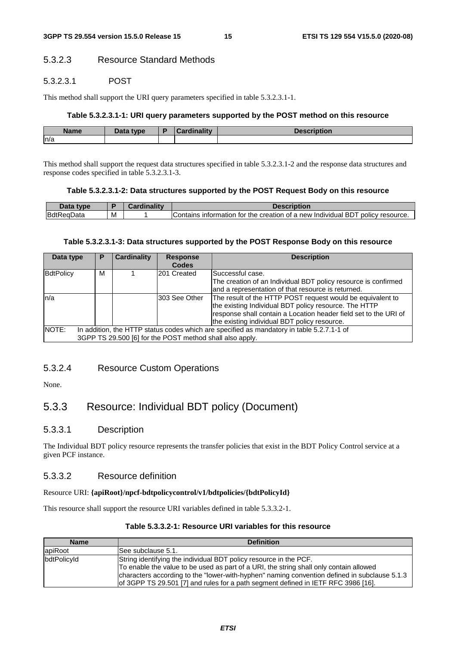### 5.3.2.3 Resource Standard Methods

#### 5.3.2.3.1 POST

This method shall support the URI query parameters specified in table 5.3.2.3.1-1.

#### **Table 5.3.2.3.1-1: URI query parameters supported by the POST method on this resource**

| <b>Name</b> | <b>Data type</b><br><i>Jala</i> | $1 - 11$ | .<br>יטפטע<br>Duvil |
|-------------|---------------------------------|----------|---------------------|
| n/a         |                                 |          |                     |

This method shall support the request data structures specified in table 5.3.2.3.1-2 and the response data structures and response codes specified in table 5.3.2.3.1-3.

#### **Table 5.3.2.3.1-2: Data structures supported by the POST Request Body on this resource**

| <b>VDE</b>            |   | scription                                                                                                |
|-----------------------|---|----------------------------------------------------------------------------------------------------------|
| BdtR<br>ıData<br>lne? | M | BDI<br>of a new<br>policy<br>the creation<br>resource.<br>Individual<br>Contains<br>. tor<br>information |

#### **Table 5.3.2.3.1-3: Data structures supported by the POST Response Body on this resource**

| Data type        | Р                                                                                         | <b>Cardinality</b> | <b>Response</b> | <b>Description</b>                                               |  |  |
|------------------|-------------------------------------------------------------------------------------------|--------------------|-----------------|------------------------------------------------------------------|--|--|
|                  |                                                                                           |                    | <b>Codes</b>    |                                                                  |  |  |
| <b>BdtPolicy</b> | м                                                                                         |                    | 201 Created     | Successful case.                                                 |  |  |
|                  |                                                                                           |                    |                 | The creation of an Individual BDT policy resource is confirmed   |  |  |
|                  |                                                                                           |                    |                 | and a representation of that resource is returned.               |  |  |
| ln/a             |                                                                                           |                    | 303 See Other   | The result of the HTTP POST request would be equivalent to       |  |  |
|                  |                                                                                           |                    |                 | the existing Individual BDT policy resource. The HTTP            |  |  |
|                  |                                                                                           |                    |                 | response shall contain a Location header field set to the URI of |  |  |
|                  |                                                                                           |                    |                 | the existing individual BDT policy resource.                     |  |  |
| NOTE:            | In addition, the HTTP status codes which are specified as mandatory in table 5.2.7.1-1 of |                    |                 |                                                                  |  |  |
|                  | 3GPP TS 29.500 [6] for the POST method shall also apply.                                  |                    |                 |                                                                  |  |  |

#### 5.3.2.4 Resource Custom Operations

None.

### 5.3.3 Resource: Individual BDT policy (Document)

#### 5.3.3.1 Description

The Individual BDT policy resource represents the transfer policies that exist in the BDT Policy Control service at a given PCF instance.

#### 5.3.3.2 Resource definition

#### Resource URI: **{apiRoot}/npcf-bdtpolicycontrol/v1/bdtpolicies/{bdtPolicyId}**

This resource shall support the resource URI variables defined in table 5.3.3.2-1.

| Table 5.3.3.2-1: Resource URI variables for this resource |  |  |
|-----------------------------------------------------------|--|--|
|-----------------------------------------------------------|--|--|

| <b>Name</b>                                                                      | <b>Definition</b>                                                                            |  |  |
|----------------------------------------------------------------------------------|----------------------------------------------------------------------------------------------|--|--|
| apiRoot                                                                          | ISee subclause 5.1.                                                                          |  |  |
| bdtPolicyId<br>String identifying the individual BDT policy resource in the PCF. |                                                                                              |  |  |
|                                                                                  | To enable the value to be used as part of a URI, the string shall only contain allowed       |  |  |
|                                                                                  | characters according to the "lower-with-hyphen" naming convention defined in subclause 5.1.3 |  |  |
|                                                                                  | of 3GPP TS 29.501 [7] and rules for a path segment defined in IETF RFC 3986 [16].            |  |  |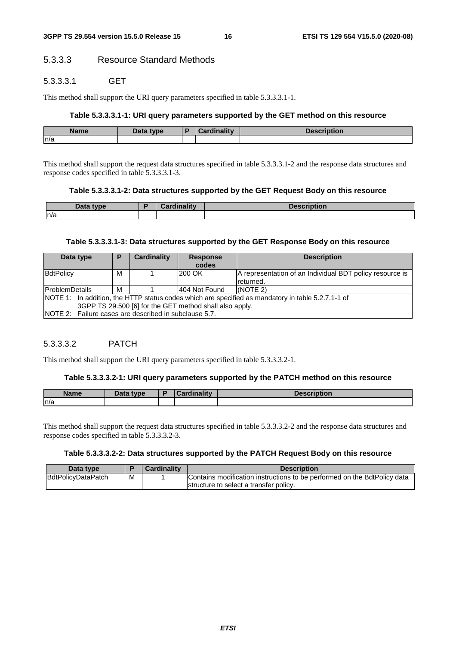### 5.3.3.3 Resource Standard Methods

#### 5.3.3.3.1 GET

This method shall support the URI query parameters specified in table 5.3.3.3.1-1.

#### **Table 5.3.3.3.1-1: URI query parameters supported by the GET method on this resource**

| Name | <b>Data</b><br>type | Cardinality<br>nautv<br>$\sim$ | <b>Description</b><br><b>DESI</b> |
|------|---------------------|--------------------------------|-----------------------------------|
| n/a  |                     |                                |                                   |

This method shall support the request data structures specified in table 5.3.3.3.1-2 and the response data structures and response codes specified in table 5.3.3.3.1-3.

#### **Table 5.3.3.3.1-2: Data structures supported by the GET Request Body on this resource**

| Data.<br>tyne | <b>Note of the State</b><br><b>THE REAL</b><br><b>Pordu</b><br>and it w | <b>Description</b> |
|---------------|-------------------------------------------------------------------------|--------------------|
| ln/a          |                                                                         |                    |

#### **Table 5.3.3.3.1-3: Data structures supported by the GET Response Body on this resource**

| Data type<br>Р                                          |   | Cardinality   | <b>Response</b><br>codes | <b>Description</b>                                                                                |  |  |
|---------------------------------------------------------|---|---------------|--------------------------|---------------------------------------------------------------------------------------------------|--|--|
| BdtPolicy                                               | М |               | 200 OK                   | A representation of an Individual BDT policy resource is                                          |  |  |
|                                                         |   |               |                          | Ireturned.                                                                                        |  |  |
| <b>ProblemDetails</b><br>м                              |   | 404 Not Found | $NOTE$ 2)                |                                                                                                   |  |  |
|                                                         |   |               |                          | NOTE 1: In addition, the HTTP status codes which are specified as mandatory in table 5.2.7.1-1 of |  |  |
| 3GPP TS 29.500 [6] for the GET method shall also apply. |   |               |                          |                                                                                                   |  |  |
| INOTE 2: Failure cases are described in subclause 5.7.  |   |               |                          |                                                                                                   |  |  |

#### 5.3.3.3.2 PATCH

This method shall support the URI query parameters specified in table 5.3.3.3.2-1.

#### **Table 5.3.3.3.2-1: URI query parameters supported by the PATCH method on this resource**

| <b>Name</b> | <b>Data type</b><br>Dala | Ð | $1 - 11$<br>$\sim$ | .<br><b>DESCRIPTION</b> |
|-------------|--------------------------|---|--------------------|-------------------------|
| ln/a        |                          |   |                    |                         |

This method shall support the request data structures specified in table 5.3.3.3.2-2 and the response data structures and response codes specified in table 5.3.3.3.2-3.

#### **Table 5.3.3.3.2-2: Data structures supported by the PATCH Request Body on this resource**

| Data type          |   | <b>Cardinality</b> | <b>Description</b>                                                       |
|--------------------|---|--------------------|--------------------------------------------------------------------------|
| BdtPolicyDataPatch | м |                    | Contains modification instructions to be performed on the BdtPolicy data |
|                    |   |                    | Istructure to select a transfer policy.                                  |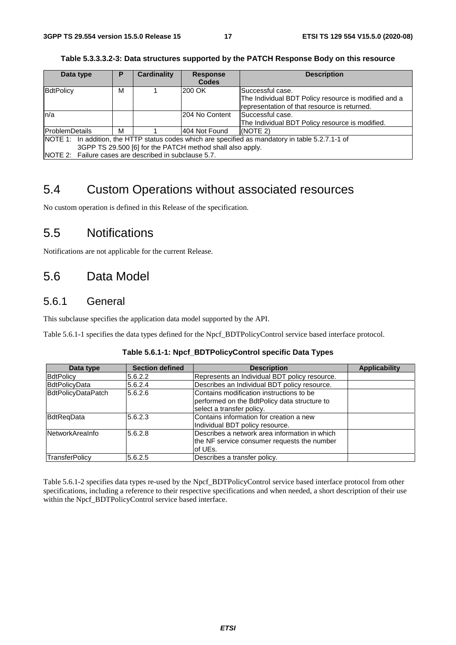| Table 5.3.3.3.2-3: Data structures supported by the PATCH Response Body on this resource |  |
|------------------------------------------------------------------------------------------|--|
|------------------------------------------------------------------------------------------|--|

| Data type                                             | Р                                                         | <b>Cardinality</b> | <b>Response</b> | <b>Description</b>                                                                                |  |  |  |  |
|-------------------------------------------------------|-----------------------------------------------------------|--------------------|-----------------|---------------------------------------------------------------------------------------------------|--|--|--|--|
|                                                       |                                                           |                    | <b>Codes</b>    |                                                                                                   |  |  |  |  |
| BdtPolicy                                             | М                                                         |                    | 200 OK          | Successful case.                                                                                  |  |  |  |  |
|                                                       |                                                           |                    |                 | The Individual BDT Policy resource is modified and a                                              |  |  |  |  |
|                                                       |                                                           |                    |                 | representation of that resource is returned.                                                      |  |  |  |  |
| ln/a                                                  |                                                           |                    | I204 No Content | lSuccessful case.                                                                                 |  |  |  |  |
|                                                       |                                                           |                    |                 | The Individual BDT Policy resource is modified.                                                   |  |  |  |  |
| <b>ProblemDetails</b>                                 | м                                                         |                    | 404 Not Found   | I(NOTE 2)                                                                                         |  |  |  |  |
|                                                       |                                                           |                    |                 | NOTE 1: In addition, the HTTP status codes which are specified as mandatory in table 5.2.7.1-1 of |  |  |  |  |
|                                                       | 3GPP TS 29.500 [6] for the PATCH method shall also apply. |                    |                 |                                                                                                   |  |  |  |  |
| NOTE 2: Failure cases are described in subclause 5.7. |                                                           |                    |                 |                                                                                                   |  |  |  |  |

# 5.4 Custom Operations without associated resources

No custom operation is defined in this Release of the specification.

# 5.5 Notifications

Notifications are not applicable for the current Release.

# 5.6 Data Model

### 5.6.1 General

This subclause specifies the application data model supported by the API.

Table 5.6.1-1 specifies the data types defined for the Npcf\_BDTPolicyControl service based interface protocol.

| Data type              | <b>Section defined</b> | <b>Description</b>                                                                                                    | <b>Applicability</b> |
|------------------------|------------------------|-----------------------------------------------------------------------------------------------------------------------|----------------------|
| <b>BdtPolicy</b>       | 5.6.2.2                | Represents an Individual BDT policy resource.                                                                         |                      |
| <b>BdtPolicyData</b>   | 5.6.2.4                | Describes an Individual BDT policy resource.                                                                          |                      |
| BdtPolicyDataPatch     | 5.6.2.6                | Contains modification instructions to be<br>performed on the BdtPolicy data structure to<br>select a transfer policy. |                      |
| BdtReqData             | 5.6.2.3                | Contains information for creation a new<br>Individual BDT policy resource.                                            |                      |
| <b>NetworkArealnfo</b> | 5.6.2.8                | Describes a network area information in which<br>the NF service consumer requests the number<br>lof UEs.              |                      |
| TransferPolicy         | 5.6.2.5                | Describes a transfer policy.                                                                                          |                      |

Table 5.6.1-2 specifies data types re-used by the Npcf\_BDTPolicyControl service based interface protocol from other specifications, including a reference to their respective specifications and when needed, a short description of their use within the Npcf\_BDTPolicyControl service based interface.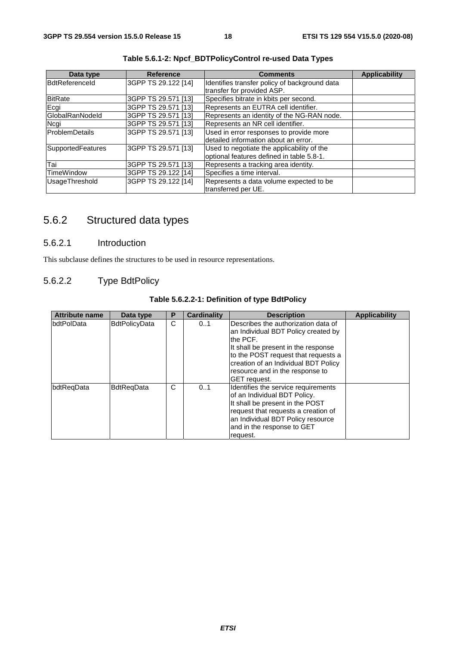| Data type         | <b>Reference</b>    | <b>Comments</b>                                                                         | <b>Applicability</b> |
|-------------------|---------------------|-----------------------------------------------------------------------------------------|----------------------|
| BdtReferenceld    | 3GPP TS 29.122 [14] | Identifies transfer policy of background data<br>transfer for provided ASP.             |                      |
| <b>BitRate</b>    | 3GPP TS 29.571 [13] | Specifies bitrate in kbits per second.                                                  |                      |
| Ecgi              | 3GPP TS 29.571 [13] | Represents an EUTRA cell identifier.                                                    |                      |
| GlobalRanNodeld   | 3GPP TS 29.571 [13] | Represents an identity of the NG-RAN node.                                              |                      |
| Ncgi              | 3GPP TS 29.571 [13] | Represents an NR cell identifier.                                                       |                      |
| ProblemDetails    | 3GPP TS 29.571 [13] | Used in error responses to provide more<br>detailed information about an error.         |                      |
| SupportedFeatures | 3GPP TS 29.571 [13] | Used to negotiate the applicability of the<br>optional features defined in table 5.8-1. |                      |
| Tai               | 3GPP TS 29.571 [13] | Represents a tracking area identity.                                                    |                      |
| <b>TimeWindow</b> | 3GPP TS 29.122 [14] | Specifies a time interval.                                                              |                      |
| UsageThreshold    | 3GPP TS 29.122 [14] | Represents a data volume expected to be<br>transferred per UE.                          |                      |

**Table 5.6.1-2: Npcf\_BDTPolicyControl re-used Data Types** 

# 5.6.2 Structured data types

### 5.6.2.1 Introduction

This subclause defines the structures to be used in resource representations.

### 5.6.2.2 Type BdtPolicy

| <b>Attribute name</b> | Data type            | Р | <b>Cardinality</b> | <b>Description</b>                                                                                                                                                                                                                                                       | <b>Applicability</b> |
|-----------------------|----------------------|---|--------------------|--------------------------------------------------------------------------------------------------------------------------------------------------------------------------------------------------------------------------------------------------------------------------|----------------------|
| bdtPolData            | <b>BdtPolicyData</b> | C | 01                 | Describes the authorization data of<br>an Individual BDT Policy created by<br>lthe PCF.<br>It shall be present in the response<br>to the POST request that requests a<br>creation of an Individual BDT Policy<br>resource and in the response to<br><b>IGET</b> reauest. |                      |
| bdtRegData            | <b>BdtRegData</b>    | C | 01                 | Identifies the service requirements<br>of an Individual BDT Policy.<br>It shall be present in the POST<br>request that requests a creation of<br>an Individual BDT Policy resource<br>and in the response to GET<br>request.                                             |                      |

**Table 5.6.2.2-1: Definition of type BdtPolicy**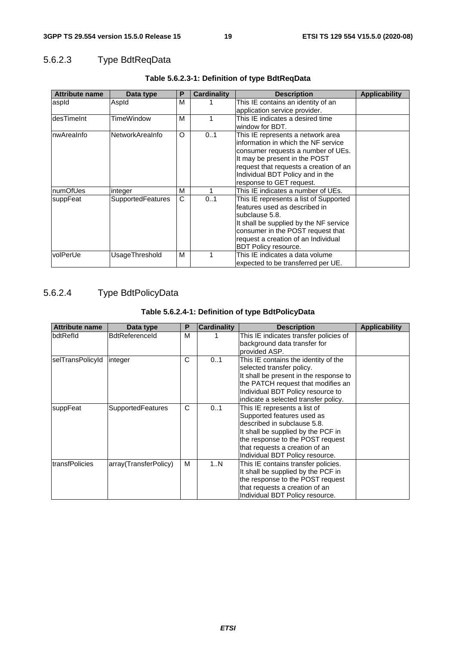# 5.6.2.3 Type BdtReqData

| <b>Attribute name</b> | Data type                | P | Cardinality | <b>Description</b>                     | <b>Applicability</b> |
|-----------------------|--------------------------|---|-------------|----------------------------------------|----------------------|
| aspid                 | Aspld                    | м |             | This IE contains an identity of an     |                      |
|                       |                          |   |             | application service provider.          |                      |
| desTimeInt            | TimeWindow               | м |             | This IE indicates a desired time       |                      |
|                       |                          |   |             | window for BDT.                        |                      |
| nwAreaInfo            | NetworkAreaInfo          | O | 01          | This IE represents a network area      |                      |
|                       |                          |   |             | information in which the NF service    |                      |
|                       |                          |   |             | consumer requests a number of UEs.     |                      |
|                       |                          |   |             | It may be present in the POST          |                      |
|                       |                          |   |             | request that requests a creation of an |                      |
|                       |                          |   |             | Individual BDT Policy and in the       |                      |
|                       |                          |   |             | response to GET request.               |                      |
| numOfUes              | integer                  | м |             | This IE indicates a number of UEs.     |                      |
| suppFeat              | <b>SupportedFeatures</b> | C | 01          | This IE represents a list of Supported |                      |
|                       |                          |   |             | features used as described in          |                      |
|                       |                          |   |             | subclause 5.8.                         |                      |
|                       |                          |   |             | It shall be supplied by the NF service |                      |
|                       |                          |   |             | consumer in the POST request that      |                      |
|                       |                          |   |             | request a creation of an Individual    |                      |
|                       |                          |   |             | BDT Policy resource.                   |                      |
| volPerUe              | UsageThreshold           | м |             | This IE indicates a data volume        |                      |
|                       |                          |   |             | expected to be transferred per UE.     |                      |

### **Table 5.6.2.3-1: Definition of type BdtReqData**

# 5.6.2.4 Type BdtPolicyData

### **Table 5.6.2.4-1: Definition of type BdtPolicyData**

| <b>Attribute name</b> | Data type                | Р | <b>Cardinality</b> | <b>Description</b>                                                                                                                                                                                                                       | <b>Applicability</b> |
|-----------------------|--------------------------|---|--------------------|------------------------------------------------------------------------------------------------------------------------------------------------------------------------------------------------------------------------------------------|----------------------|
| bdtRefld              | <b>BdtReferenceld</b>    | M |                    | This IE indicates transfer policies of<br>background data transfer for<br>provided ASP.                                                                                                                                                  |                      |
| selTransPolicyId      | integer                  | C | 0.1                | This IE contains the identity of the<br>selected transfer policy.<br>It shall be present in the response to<br>the PATCH request that modifies an<br>Individual BDT Policy resource to<br>indicate a selected transfer policy.           |                      |
| suppFeat              | <b>SupportedFeatures</b> | C | 01                 | This IE represents a list of<br>Supported features used as<br>described in subclause 5.8.<br>It shall be supplied by the PCF in<br>the response to the POST request<br>that requests a creation of an<br>Individual BDT Policy resource. |                      |
| transfPolicies        | array(TransferPolicy)    | м | 1N                 | This IE contains transfer policies.<br>It shall be supplied by the PCF in<br>the response to the POST request<br>that requests a creation of an<br>Individual BDT Policy resource.                                                       |                      |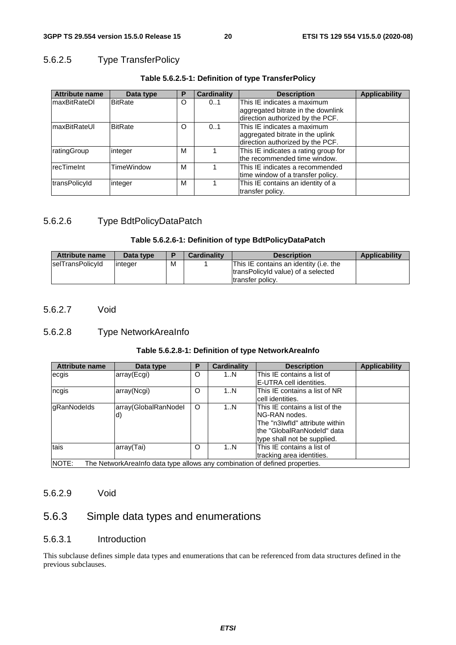# 5.6.2.5 Type TransferPolicy

| <b>Attribute name</b> | Data type      | Р | <b>Cardinality</b> | <b>Description</b>                   | <b>Applicability</b> |
|-----------------------|----------------|---|--------------------|--------------------------------------|----------------------|
| <b>maxBitRateDI</b>   | <b>BitRate</b> | O | 01                 | This IE indicates a maximum          |                      |
|                       |                |   |                    | aggregated bitrate in the downlink   |                      |
|                       |                |   |                    | direction authorized by the PCF.     |                      |
| <b>maxBitRateUI</b>   | <b>BitRate</b> | O | 01                 | This IE indicates a maximum          |                      |
|                       |                |   |                    | aggregated bitrate in the uplink     |                      |
|                       |                |   |                    | direction authorized by the PCF.     |                      |
| ratingGroup           | integer        | м |                    | This IE indicates a rating group for |                      |
|                       |                |   |                    | the recommended time window.         |                      |
| recTimeInt            | TimeWindow     | М |                    | This IE indicates a recommended      |                      |
|                       |                |   |                    | time window of a transfer policy.    |                      |
| transPolicyId         | integer        | м |                    | This IE contains an identity of a    |                      |
|                       |                |   |                    | transfer policy.                     |                      |

#### **Table 5.6.2.5-1: Definition of type TransferPolicy**

### 5.6.2.6 Type BdtPolicyDataPatch

#### **Table 5.6.2.6-1: Definition of type BdtPolicyDataPatch**

| <b>Attribute name</b> | Data type |   | <b>Cardinality</b> | <b>Description</b>                                                                                | <b>Applicability</b> |
|-----------------------|-----------|---|--------------------|---------------------------------------------------------------------------------------------------|----------------------|
| selTransPolicyId      | linteger  | М |                    | This IE contains an identity (i.e. the<br>transPolicyId value) of a selected<br>Itransfer policy. |                      |

#### 5.6.2.7 Void

### 5.6.2.8 Type NetworkAreaInfo

#### **Table 5.6.2.8-1: Definition of type NetworkAreaInfo**

| <b>Attribute name</b>                                                                 | Data type            | Р       | <b>Cardinality</b> | <b>Description</b>             | <b>Applicability</b> |
|---------------------------------------------------------------------------------------|----------------------|---------|--------------------|--------------------------------|----------------------|
| ecgis                                                                                 | array(Ecgi)          | O       | 1N                 | This IE contains a list of     |                      |
|                                                                                       |                      |         |                    | E-UTRA cell identities.        |                      |
| ncgis                                                                                 | array(Ncgi)          | O       | 1N                 | This IE contains a list of NR  |                      |
|                                                                                       |                      |         |                    | cell identities.               |                      |
| <b>gRanNodelds</b>                                                                    | array(GlobalRanNodel | $\circ$ | 1N                 | This IE contains a list of the |                      |
|                                                                                       | d)                   |         |                    | NG-RAN nodes.                  |                      |
|                                                                                       |                      |         |                    | The "n3Iwfld" attribute within |                      |
|                                                                                       |                      |         |                    | lthe "GlobalRanNodeId" data    |                      |
|                                                                                       |                      |         |                    | type shall not be supplied.    |                      |
| tais                                                                                  | array(Tai)           | O       | 1N                 | This IE contains a list of     |                      |
|                                                                                       |                      |         |                    | tracking area identities.      |                      |
| INOTE:<br>The NetworkAreaInfo data type allows any combination of defined properties. |                      |         |                    |                                |                      |

### 5.6.2.9 Void

# 5.6.3 Simple data types and enumerations

### 5.6.3.1 Introduction

This subclause defines simple data types and enumerations that can be referenced from data structures defined in the previous subclauses.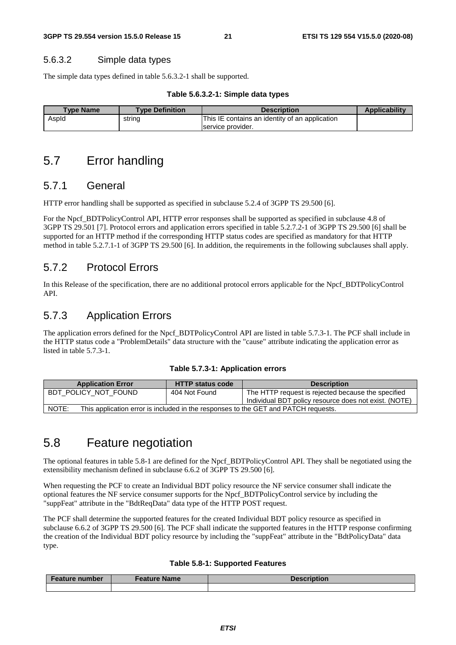#### 5.6.3.2 Simple data types

The simple data types defined in table 5.6.3.2-1 shall be supported.

#### **Table 5.6.3.2-1: Simple data types**

| <b>Type Name</b> | <b>Type Definition</b> | <b>Description</b>                             | <b>Applicability</b> |
|------------------|------------------------|------------------------------------------------|----------------------|
| AspId            | string                 | This IE contains an identity of an application |                      |
|                  |                        | service provider.                              |                      |

# 5.7 Error handling

### 5.7.1 General

HTTP error handling shall be supported as specified in subclause 5.2.4 of 3GPP TS 29.500 [6].

For the Npcf\_BDTPolicyControl API, HTTP error responses shall be supported as specified in subclause 4.8 of 3GPP TS 29.501 [7]. Protocol errors and application errors specified in table 5.2.7.2-1 of 3GPP TS 29.500 [6] shall be supported for an HTTP method if the corresponding HTTP status codes are specified as mandatory for that HTTP method in table 5.2.7.1-1 of 3GPP TS 29.500 [6]. In addition, the requirements in the following subclauses shall apply.

### 5.7.2 Protocol Errors

In this Release of the specification, there are no additional protocol errors applicable for the Npcf\_BDTPolicyControl API.

# 5.7.3 Application Errors

The application errors defined for the Npcf\_BDTPolicyControl API are listed in table 5.7.3-1. The PCF shall include in the HTTP status code a "ProblemDetails" data structure with the "cause" attribute indicating the application error as listed in table 5.7.3-1.

| <b>Application Error</b> | <b>HTTP status code</b>                                                            | <b>Description</b>                                                                                          |  |  |  |  |
|--------------------------|------------------------------------------------------------------------------------|-------------------------------------------------------------------------------------------------------------|--|--|--|--|
| BDT POLICY NOT FOUND     | 404 Not Found                                                                      | The HTTP request is rejected because the specified<br>Individual BDT policy resource does not exist. (NOTE) |  |  |  |  |
|                          |                                                                                    |                                                                                                             |  |  |  |  |
| NOTE:                    | This application error is included in the responses to the GET and PATCH requests. |                                                                                                             |  |  |  |  |

# 5.8 Feature negotiation

The optional features in table 5.8-1 are defined for the Npcf\_BDTPolicyControl API. They shall be negotiated using the extensibility mechanism defined in subclause 6.6.2 of 3GPP TS 29.500 [6].

When requesting the PCF to create an Individual BDT policy resource the NF service consumer shall indicate the optional features the NF service consumer supports for the Npcf\_BDTPolicyControl service by including the "suppFeat" attribute in the "BdtReqData" data type of the HTTP POST request.

The PCF shall determine the supported features for the created Individual BDT policy resource as specified in subclause 6.6.2 of 3GPP TS 29.500 [6]. The PCF shall indicate the supported features in the HTTP response confirming the creation of the Individual BDT policy resource by including the "suppFeat" attribute in the "BdtPolicyData" data type.

#### **Table 5.8-1: Supported Features**

| <b>Feature number</b> | <b>Feature Name</b> | Description |
|-----------------------|---------------------|-------------|
|                       |                     |             |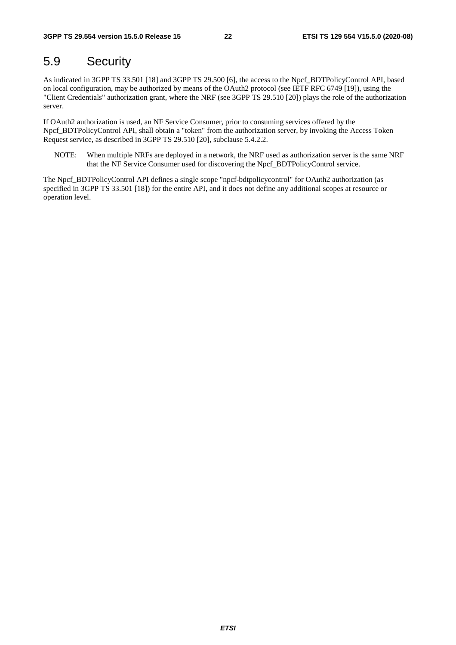# 5.9 Security

As indicated in 3GPP TS 33.501 [18] and 3GPP TS 29.500 [6], the access to the Npcf\_BDTPolicyControl API, based on local configuration, may be authorized by means of the OAuth2 protocol (see IETF RFC 6749 [19]), using the "Client Credentials" authorization grant, where the NRF (see 3GPP TS 29.510 [20]) plays the role of the authorization server.

If OAuth2 authorization is used, an NF Service Consumer, prior to consuming services offered by the Npcf\_BDTPolicyControl API, shall obtain a "token" from the authorization server, by invoking the Access Token Request service, as described in 3GPP TS 29.510 [20], subclause 5.4.2.2.

NOTE: When multiple NRFs are deployed in a network, the NRF used as authorization server is the same NRF that the NF Service Consumer used for discovering the Npcf\_BDTPolicyControl service.

The Npcf\_BDTPolicyControl API defines a single scope "npcf-bdtpolicycontrol" for OAuth2 authorization (as specified in 3GPP TS 33.501 [18]) for the entire API, and it does not define any additional scopes at resource or operation level.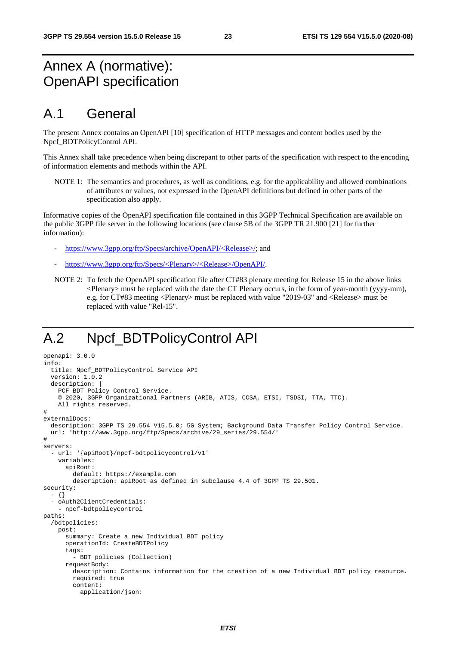# Annex A (normative): OpenAPI specification

# A.1 General

The present Annex contains an OpenAPI [10] specification of HTTP messages and content bodies used by the Npcf\_BDTPolicyControl API.

This Annex shall take precedence when being discrepant to other parts of the specification with respect to the encoding of information elements and methods within the API.

NOTE 1: The semantics and procedures, as well as conditions, e.g. for the applicability and allowed combinations of attributes or values, not expressed in the OpenAPI definitions but defined in other parts of the specification also apply.

Informative copies of the OpenAPI specification file contained in this 3GPP Technical Specification are available on the public 3GPP file server in the following locations (see clause 5B of the 3GPP TR 21.900 [21] for further information):

- [https://www.3gpp.org/ftp/Specs/archive/OpenAPI/<Release>/](https://www.3gpp.org/ftp/Specs/archive/OpenAPI/%3cRelease%3e/); and
- [https://www.3gpp.org/ftp/Specs/<Plenary>/<Release>/OpenAPI/](https://www.3gpp.org/ftp/Specs/%3cPlenary%3e/%3cRelease%3e/OpenAPI/).
- NOTE 2: To fetch the OpenAPI specification file after CT#83 plenary meeting for Release 15 in the above links <Plenary> must be replaced with the date the CT Plenary occurs, in the form of year-month (yyyy-mm), e.g. for CT#83 meeting <Plenary> must be replaced with value "2019-03" and <Release> must be replaced with value "Rel-15".

# A.2 Npcf\_BDTPolicyControl API

```
openapi: 3.0.0 
info: 
   title: Npcf_BDTPolicyControl Service API 
   version: 1.0.2 
  description:
    PCF BDT Policy Control Service.
     © 2020, 3GPP Organizational Partners (ARIB, ATIS, CCSA, ETSI, TSDSI, TTA, TTC). 
     All rights reserved. 
# 
externalDocs: 
   description: 3GPP TS 29.554 V15.5.0; 5G System; Background Data Transfer Policy Control Service. 
   url: 'http://www.3gpp.org/ftp/Specs/archive/29_series/29.554/' 
# 
servers: 
   - url: '{apiRoot}/npcf-bdtpolicycontrol/v1' 
     variables: 
       apiRoot: 
         default: https://example.com 
         description: apiRoot as defined in subclause 4.4 of 3GPP TS 29.501. 
security: 
   - {} 
   - oAuth2ClientCredentials: 
     - npcf-bdtpolicycontrol 
paths: 
   /bdtpolicies: 
     post: 
       summary: Create a new Individual BDT policy 
       operationId: CreateBDTPolicy 
       tags: 
         - BDT policies (Collection) 
       requestBody: 
         description: Contains information for the creation of a new Individual BDT policy resource. 
         required: true 
         content: 
           application/json:
```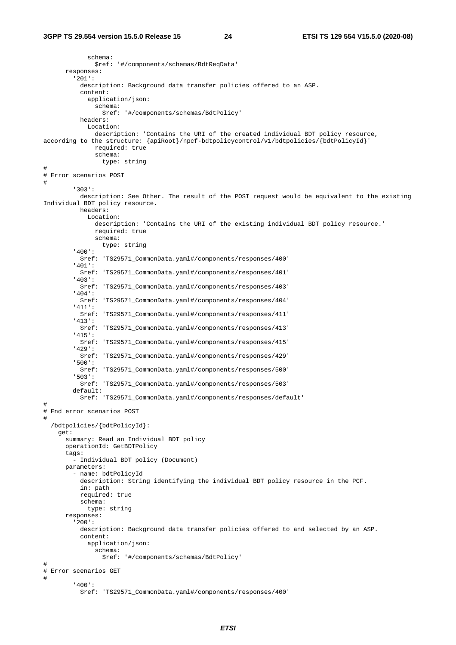schema: \$ref: '#/components/schemas/BdtReqData' responses: '201': description: Background data transfer policies offered to an ASP. content: application/json: schema: \$ref: '#/components/schemas/BdtPolicy' headers: Location: description: 'Contains the URI of the created individual BDT policy resource, according to the structure: {apiRoot}/npcf-bdtpolicycontrol/v1/bdtpolicies/{bdtPolicyId}' required: true schema: type: string # # Error scenarios POST # '303': description: See Other. The result of the POST request would be equivalent to the existing Individual BDT policy resource. headers: Location: description: 'Contains the URI of the existing individual BDT policy resource.' required: true schema: type: string '400': \$ref: 'TS29571\_CommonData.yaml#/components/responses/400' '401': \$ref: 'TS29571\_CommonData.yaml#/components/responses/401' '403': \$ref: 'TS29571\_CommonData.yaml#/components/responses/403' '404': \$ref: 'TS29571\_CommonData.yaml#/components/responses/404' '411': \$ref: 'TS29571\_CommonData.yaml#/components/responses/411' '413': \$ref: 'TS29571\_CommonData.yaml#/components/responses/413' '415': \$ref: 'TS29571\_CommonData.yaml#/components/responses/415' '429': \$ref: 'TS29571\_CommonData.yaml#/components/responses/429' '500': \$ref: 'TS29571\_CommonData.yaml#/components/responses/500' '503': \$ref: 'TS29571\_CommonData.yaml#/components/responses/503' default: \$ref: 'TS29571\_CommonData.yaml#/components/responses/default' # # End error scenarios POST # /bdtpolicies/{bdtPolicyId}: get: summary: Read an Individual BDT policy operationId: GetBDTPolicy tags: - Individual BDT policy (Document) parameters: - name: bdtPolicyId description: String identifying the individual BDT policy resource in the PCF. in: path required: true schema: type: string responses: '200': description: Background data transfer policies offered to and selected by an ASP. content: application/json: schema: \$ref: '#/components/schemas/BdtPolicy' # # Error scenarios GET # '400': \$ref: 'TS29571\_CommonData.yaml#/components/responses/400'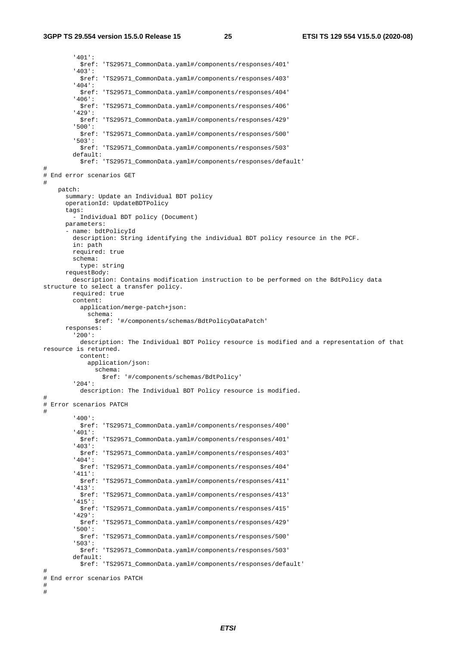'401': \$ref: 'TS29571\_CommonData.yaml#/components/responses/401' '403': \$ref: 'TS29571\_CommonData.yaml#/components/responses/403' '404': \$ref: 'TS29571\_CommonData.yaml#/components/responses/404' '406': \$ref: 'TS29571\_CommonData.yaml#/components/responses/406' '429': \$ref: 'TS29571\_CommonData.yaml#/components/responses/429' '500': \$ref: 'TS29571\_CommonData.yaml#/components/responses/500' '503': \$ref: 'TS29571\_CommonData.yaml#/components/responses/503' default: \$ref: 'TS29571\_CommonData.yaml#/components/responses/default' # # End error scenarios GET # patch: summary: Update an Individual BDT policy operationId: UpdateBDTPolicy tags: - Individual BDT policy (Document) parameters: - name: bdtPolicyId description: String identifying the individual BDT policy resource in the PCF. in: path required: true schema: type: string requestBody: description: Contains modification instruction to be performed on the BdtPolicy data structure to select a transfer policy. required: true content: application/merge-patch+json: schema: \$ref: '#/components/schemas/BdtPolicyDataPatch' responses: '200': description: The Individual BDT Policy resource is modified and a representation of that resource is returned. content: application/json: schema: \$ref: '#/components/schemas/BdtPolicy' '204': description: The Individual BDT Policy resource is modified. # # Error scenarios PATCH # '400': \$ref: 'TS29571\_CommonData.yaml#/components/responses/400' '401': \$ref: 'TS29571\_CommonData.yaml#/components/responses/401' '403': \$ref: 'TS29571\_CommonData.yaml#/components/responses/403' '404': \$ref: 'TS29571\_CommonData.yaml#/components/responses/404' '411': \$ref: 'TS29571\_CommonData.yaml#/components/responses/411' '413': \$ref: 'TS29571\_CommonData.yaml#/components/responses/413' '415': \$ref: 'TS29571\_CommonData.yaml#/components/responses/415' '429': \$ref: 'TS29571\_CommonData.yaml#/components/responses/429' '500': \$ref: 'TS29571\_CommonData.yaml#/components/responses/500' '503': \$ref: 'TS29571\_CommonData.yaml#/components/responses/503' default: \$ref: 'TS29571\_CommonData.yaml#/components/responses/default' # # End error scenarios PATCH # #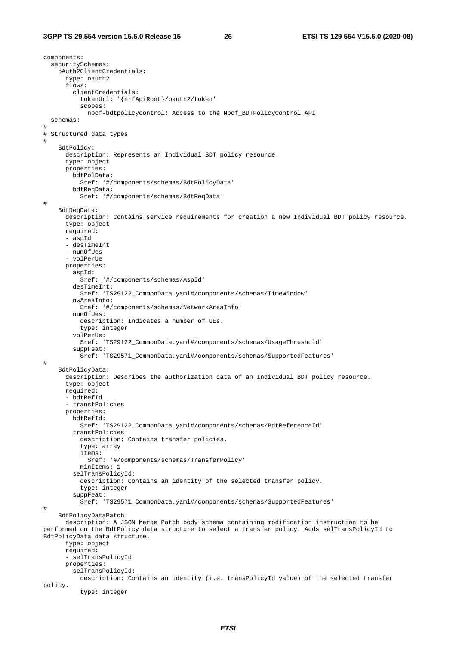components: securitySchemes: oAuth2ClientCredentials: type: oauth2 flows: clientCredentials: tokenUrl: '{nrfApiRoot}/oauth2/token' scopes: npcf-bdtpolicycontrol: Access to the Npcf\_BDTPolicyControl API schemas: # # Structured data types # BdtPolicy: description: Represents an Individual BDT policy resource. type: object properties: bdtPolData: \$ref: '#/components/schemas/BdtPolicyData' bdtReqData: \$ref: '#/components/schemas/BdtReqData' # BdtReqData: description: Contains service requirements for creation a new Individual BDT policy resource. type: object required: - aspId - desTimeInt - numOfUes - volPerUe properties: aspId: \$ref: '#/components/schemas/AspId' desTimeInt: \$ref: 'TS29122\_CommonData.yaml#/components/schemas/TimeWindow' nwAreaInfo: \$ref: '#/components/schemas/NetworkAreaInfo' numOfUes: description: Indicates a number of UEs. type: integer volPerUe: \$ref: 'TS29122\_CommonData.yaml#/components/schemas/UsageThreshold' suppFeat: \$ref: 'TS29571\_CommonData.yaml#/components/schemas/SupportedFeatures' # BdtPolicyData: description: Describes the authorization data of an Individual BDT policy resource. type: object required: - bdtRefId - transfPolicies properties: bdtRefId: \$ref: 'TS29122\_CommonData.yaml#/components/schemas/BdtReferenceId' transfPolicies: description: Contains transfer policies. type: array items: \$ref: '#/components/schemas/TransferPolicy' minItems: 1 selTransPolicyId: description: Contains an identity of the selected transfer policy. type: integer suppFeat: \$ref: 'TS29571\_CommonData.yaml#/components/schemas/SupportedFeatures' # BdtPolicyDataPatch: description: A JSON Merge Patch body schema containing modification instruction to be performed on the BdtPolicy data structure to select a transfer policy. Adds selTransPolicyId to BdtPolicyData data structure. type: object required: - selTransPolicyId properties: selTransPolicyId: description: Contains an identity (i.e. transPolicyId value) of the selected transfer policy. type: integer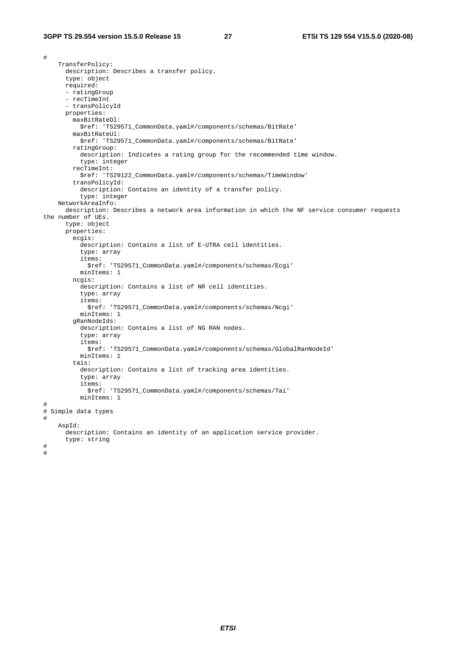# TransferPolicy: description: Describes a transfer policy. type: object required: - ratingGroup - recTimeInt - transPolicyId properties: maxBitRateDl: \$ref: 'TS29571\_CommonData.yaml#/components/schemas/BitRate' maxBitRateUl: \$ref: 'TS29571\_CommonData.yaml#/components/schemas/BitRate' ratingGroup: description: Indicates a rating group for the recommended time window. type: integer recTimeInt: \$ref: 'TS29122\_CommonData.yaml#/components/schemas/TimeWindow' transPolicyId: description: Contains an identity of a transfer policy. type: integer NetworkAreaInfo: description: Describes a network area information in which the NF service consumer requests the number of UEs. type: object properties: ecgis: description: Contains a list of E-UTRA cell identities. type: array items: \$ref: 'TS29571\_CommonData.yaml#/components/schemas/Ecgi' minItems: 1 ncgis: description: Contains a list of NR cell identities. type: array items: \$ref: 'TS29571\_CommonData.yaml#/components/schemas/Ncgi' minItems: 1 gRanNodeIds: description: Contains a list of NG RAN nodes. type: array items: \$ref: 'TS29571\_CommonData.yaml#/components/schemas/GlobalRanNodeId' minItems: 1 tais: description: Contains a list of tracking area identities. type: array items: \$ref: 'TS29571\_CommonData.yaml#/components/schemas/Tai' minItems: 1 # # Simple data types # AspId: description: Contains an identity of an application service provider. type: string # #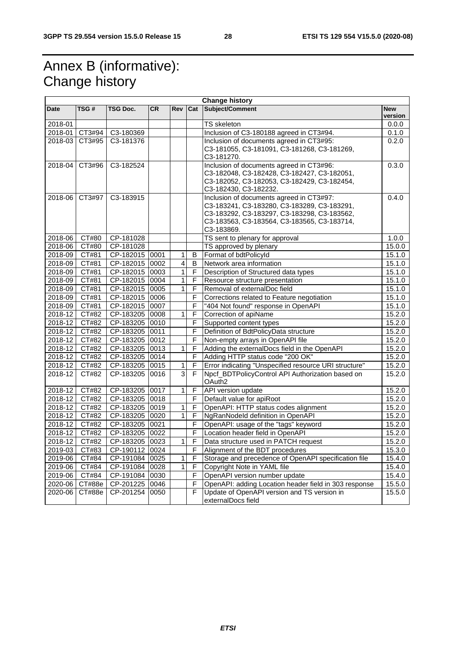# Annex B (informative): Change history

| <b>Change history</b> |                  |                |           |                |                |                                                           |                       |
|-----------------------|------------------|----------------|-----------|----------------|----------------|-----------------------------------------------------------|-----------------------|
| <b>Date</b>           | TSG #            | TSG Doc.       | <b>CR</b> | Rev            | Cat            | Subject/Comment                                           | <b>New</b><br>version |
| 2018-01               |                  |                |           |                |                | <b>TS</b> skeleton                                        | 0.0.0                 |
|                       | 2018-01   CT3#94 | C3-180369      |           |                |                | Inclusion of C3-180188 agreed in CT3#94.                  | 0.1.0                 |
|                       | 2018-03 CT3#95   | C3-181376      |           |                |                | Inclusion of documents agreed in CT3#95:                  | 0.2.0                 |
|                       |                  |                |           |                |                | C3-181055, C3-181091, C3-181268, C3-181269,               |                       |
|                       |                  |                |           |                |                | C3-181270.                                                |                       |
| 2018-04               | CT3#96           | C3-182524      |           |                |                | Inclusion of documents agreed in CT3#96:                  | 0.3.0                 |
|                       |                  |                |           |                |                | C3-182048, C3-182428, C3-182427, C3-182051,               |                       |
|                       |                  |                |           |                |                | C3-182052, C3-182053, C3-182429, C3-182454,               |                       |
|                       |                  |                |           |                |                | C3-182430, C3-182232.                                     |                       |
|                       | 2018-06 CT3#97   | C3-183915      |           |                |                | Inclusion of documents agreed in CT3#97:                  | 0.4.0                 |
|                       |                  |                |           |                |                | C3-183241, C3-183280, C3-183289, C3-183291,               |                       |
|                       |                  |                |           |                |                | C3-183292, C3-183297, C3-183298, C3-183562,               |                       |
|                       |                  |                |           |                |                | C3-183563, C3-183564, C3-183565, C3-183714,<br>C3-183869. |                       |
| 2018-06               | CT#80            | CP-181028      |           |                |                | TS sent to plenary for approval                           | 1.0.0                 |
| 2018-06               | CT#80            | CP-181028      |           |                |                | TS approved by plenary                                    | 15.0.0                |
| 2018-09               | CT#81            | CP-182015 0001 |           | 1              | B              | Format of bdtPolicyId                                     | 15.1.0                |
| 2018-09               | CT#81            | CP-182015 0002 |           | $\overline{4}$ | B              | Network area information                                  | 15.1.0                |
| 2018-09               | CT#81            | CP-182015 0003 |           | 1              | F              | Description of Structured data types                      | 15.1.0                |
| 2018-09               | CT#81            | CP-182015 0004 |           | $\mathbf{1}$   | $\overline{F}$ | Resource structure presentation                           | 15.1.0                |
| 2018-09               | CT#81            | CP-182015 0005 |           | 1              | F              | Removal of externalDoc field                              | 15.1.0                |
| $2018 - 09$           | CT#81            | CP-182015 0006 |           |                | F              | Corrections related to Feature negotiation                | 15.1.0                |
| 2018-09               | CT#81            | CP-182015 0007 |           |                | F              | "404 Not found" response in OpenAPI                       | 15.1.0                |
| 2018-12               | CT#82            | CP-183205 0008 |           | 1              | $\overline{F}$ | Correction of apiName                                     | 15.2.0                |
| $2018 - 12$           | CT#82            | CP-183205 0010 |           |                | F              | Supported content types                                   | 15.2.0                |
| 2018-12               | CT#82            | CP-183205 0011 |           |                | $\mathsf F$    | Definition of BdtPolicyData structure                     | 15.2.0                |
| 2018-12               | CT#82            | CP-183205 0012 |           |                | F              | Non-empty arrays in OpenAPI file                          | 15.2.0                |
| 2018-12               | CT#82            | CP-183205 0013 |           | 1              | $\mathsf F$    | Adding the externalDocs field in the OpenAPI              | 15.2.0                |
| 2018-12               | CT#82            | CP-183205 0014 |           |                | F              | Adding HTTP status code "200 OK"                          | 15.2.0                |
| $2018 - 12$           | CT#82            | CP-183205 0015 |           | 1              | $\mathsf F$    | Error indicating "Unspecified resource URI structure"     | 15.2.0                |
| 2018-12               | CT#82            | $CP-183205$    | 0016      | 3              | F              | Npcf_BDTPolicyControl API Authorization based on          | 15.2.0                |
|                       |                  |                |           |                |                | OAuth <sub>2</sub>                                        |                       |
| 2018-12               | CT#82            | CP-183205 0017 |           | 1              | F              | API version update                                        | 15.2.0                |
| $2018 - 12$           | CT#82            | CP-183205 0018 |           |                | F              | Default value for apiRoot                                 | 15.2.0                |
| 2018-12               | CT#82            | CP-183205 0019 |           | 1              | F              | OpenAPI: HTTP status codes alignment                      | 15.2.0                |
| 2018-12 CT#82         |                  | CP-183205 0020 |           | 1              | F              | NgRanNodeld definition in OpenAPI                         | 15.2.0                |
| 2018-12               | CT#82            | CP-183205 0021 |           |                | F              | OpenAPI: usage of the "tags" keyword                      | 15.2.0                |
| 2018-12               | CT#82            | CP-183205 0022 |           |                | F              | Location header field in OpenAPI                          | 15.2.0                |
| 2018-12               | CT#82            | CP-183205 0023 |           | $\mathbf{1}$   | F              | Data structure used in PATCH request                      | 15.2.0                |
| 2019-03               | CT#83            | CP-190112 0024 |           |                | $\mathsf F$    | Alignment of the BDT procedures                           | 15.3.0                |
| 2019-06               | CT#84            | CP-191084 0025 |           | 1              | F              | Storage and precedence of OpenAPI specification file      | 15.4.0                |
| 2019-06               | CT#84            | CP-191084 0028 |           | 1              | F              | Copyright Note in YAML file                               | 15.4.0                |
| 2019-06               | CT#84            | CP-191084 0030 |           |                | F              | OpenAPI version number update                             | 15.4.0                |
| 2020-06               | CT#88e           | CP-201225 0046 |           |                | F              | OpenAPI: adding Location header field in 303 response     | 15.5.0                |
| 2020-06               | CT#88e           | CP-201254 0050 |           |                | $\mathsf F$    | Update of OpenAPI version and TS version in               | 15.5.0                |
|                       |                  |                |           |                |                | externalDocs field                                        |                       |